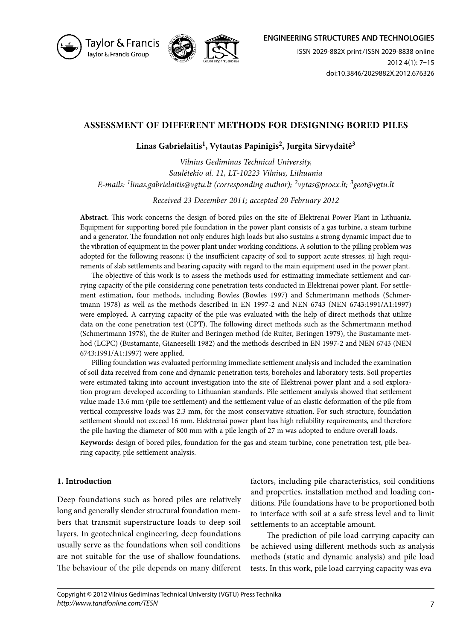

Taylor & Francis Taylor & Francis Group



ISSN 2029-882X print / ISSN 2029-8838 online 2012 4(1): 7–15 doi:10.3846/2029882X.2012.676326

# **ASSESSMENT OF DIFFERENT METHODS FOR DESIGNING BORED PILES**

# **Linas Gabrielaitis1, Vytautas Papinigis2, Jurgita Sirvydaitė3**

*Vilnius Gediminas Technical University, Saulėtekio al. 11, LT-10223 Vilnius, Lithuania E-mails: 1linas.gabrielaitis@vgtu.lt (corresponding author); 2vytas@proex.lt; 3geot@vgtu.lt*

*Received 23 December 2011; accepted 20 February 2012* 

**Abstract.** This work concerns the design of bored piles on the site of Elektrenai Power Plant in Lithuania. Equipment for supporting bored pile foundation in the power plant consists of a gas turbine, a steam turbine and a generator. The foundation not only endures high loads but also sustains a strong dynamic impact due to the vibration of equipment in the power plant under working conditions. A solution to the pilling problem was adopted for the following reasons: i) the insufficient capacity of soil to support acute stresses; ii) high requirements of slab settlements and bearing capacity with regard to the main equipment used in the power plant.

The objective of this work is to assess the methods used for estimating immediate settlement and carrying capacity of the pile considering cone penetration tests conducted in Elektrenai power plant. For settlement estimation, four methods, including Bowles (Bowles 1997) and Schmertmann methods (Schmertmann 1978) as well as the methods described in EN 1997-2 and NEN 6743 (NEN 6743:1991/A1:1997) were employed. A carrying capacity of the pile was evaluated with the help of direct methods that utilize data on the cone penetration test (CPT). The following direct methods such as the Schmertmann method (Schmertmann 1978), the de Ruiter and Beringen method (de Ruiter, Beringen 1979), the Bustamante method (LCPC) (Bustamante, Gianeeselli 1982) and the methods described in EN 1997-2 and NEN 6743 (NEN 6743:1991/A1:1997) were applied.

Pilling foundation was evaluated performing immediate settlement analysis and included the examination of soil data received from cone and dynamic penetration tests, boreholes and laboratory tests. Soil properties were estimated taking into account investigation into the site of Elektrenai power plant and a soil exploration program developed according to Lithuanian standards. Pile settlement analysis showed that settlement value made 13.6 mm (pile toe settlement) and the settlement value of an elastic deformation of the pile from vertical compressive loads was 2.3 mm, for the most conservative situation. For such structure, foundation settlement should not exceed 16 mm. Elektrenai power plant has high reliability requirements, and therefore the pile having the diameter of 800 mm with a pile length of 27 m was adopted to endure overall loads.

**Keywords:** design of bored piles, foundation for the gas and steam turbine, cone penetration test, pile bearing capacity, pile settlement analysis.

# **1. Introduction**

Deep foundations such as bored piles are relatively long and generally slender structural foundation members that transmit superstructure loads to deep soil layers. In geotechnical engineering, deep foundations usually serve as the foundations when soil conditions are not suitable for the use of shallow foundations. The behaviour of the pile depends on many different

factors, including pile characteristics, soil conditions and properties, installation method and loading conditions. Pile foundations have to be proportioned both to interface with soil at a safe stress level and to limit settlements to an acceptable amount.

The prediction of pile load carrying capacity can be achieved using different methods such as analysis methods (static and dynamic analysis) and pile load tests. In this work, pile load carrying capacity was eva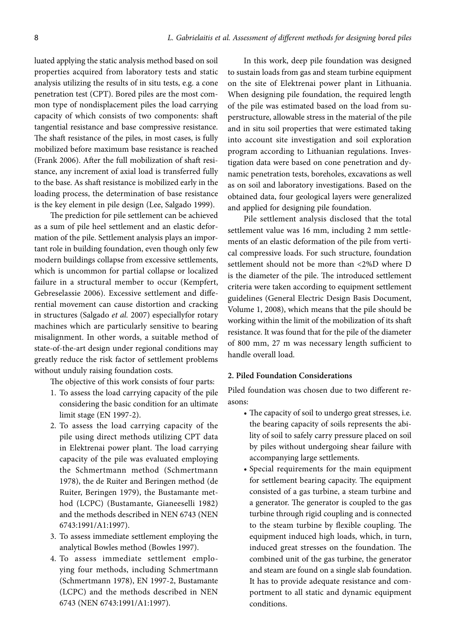luated applying the static analysis method based on soil properties acquired from laboratory tests and static analysis utilizing the results of in situ tests, e.g. a cone penetration test (CPT). Bored piles are the most common type of nondisplacement piles the load carrying capacity of which consists of two components: shaft tangential resistance and base compressive resistance. The shaft resistance of the piles, in most cases, is fully mobilized before maximum base resistance is reached (Frank 2006). After the full mobilization of shaft resistance, any increment of axial load is transferred fully to the base. As shaft resistance is mobilized early in the loading process, the determination of base resistance is the key element in pile design (Lee, Salgado 1999).

The prediction for pile settlement can be achieved as a sum of pile heel settlement and an elastic deformation of the pile. Settlement analysis plays an important role in building foundation, even though only few modern buildings collapse from excessive settlements, which is uncommon for partial collapse or localized failure in a structural member to occur (Kempfert, Gebreselassie 2006). Excessive settlement and differential movement can cause distortion and cracking in structures (Salgado *et al.* 2007) especiallyfor rotary machines which are particularly sensitive to bearing misalignment. In other words, a suitable method of state-of-the-art design under regional conditions may greatly reduce the risk factor of settlement problems without unduly raising foundation costs.

The objective of this work consists of four parts:

- 1. To assess the load carrying capacity of the pile considering the basic condition for an ultimate limit stage (EN 1997-2).
- 2. To assess the load carrying capacity of the pile using direct methods utilizing CPT data in Elektrenai power plant. The load carrying capacity of the pile was evaluated employing the Schmertmann method (Schmertmann 1978), the de Ruiter and Beringen method (de Ruiter, Beringen 1979), the Bustamante method (LCPC) (Bustamante, Gianeeselli 1982) and the methods described in NEN 6743 (NEN 6743:1991/A1:1997).
- 3. To assess immediate settlement employing the analytical Bowles method (Bowles 1997).
- 4. To assess immediate settlement employing four methods, including Schmertmann (Schmertmann 1978), EN 1997-2, Bustamante (LCPC) and the methods described in NEN 6743 (NEN 6743:1991/A1:1997).

In this work, deep pile foundation was designed to sustain loads from gas and steam turbine equipment on the site of Elektrenai power plant in Lithuania. When designing pile foundation, the required length of the pile was estimated based on the load from superstructure, allowable stress in the material of the pile and in situ soil properties that were estimated taking into account site investigation and soil exploration program according to Lithuanian regulations. Investigation data were based on cone penetration and dynamic penetration tests, boreholes, excavations as well as on soil and laboratory investigations. Based on the obtained data, four geological layers were generalized and applied for designing pile foundation.

Pile settlement analysis disclosed that the total settlement value was 16 mm, including 2 mm settlements of an elastic deformation of the pile from vertical compressive loads. For such structure, foundation settlement should not be more than <2%D where D is the diameter of the pile. The introduced settlement criteria were taken according to equipment settlement guidelines (General Electric Design Basis Document, Volume 1, 2008), which means that the pile should be working within the limit of the mobilization of its shaft resistance. It was found that for the pile of the diameter of 800 mm, 27 m was necessary length sufficient to handle overall load.

#### **2. Piled Foundation Considerations**

Piled foundation was chosen due to two different reasons:

- The capacity of soil to undergo great stresses, i.e. the bearing capacity of soils represents the ability of soil to safely carry pressure placed on soil by piles without undergoing shear failure with accompanying large settlements.
- Special requirements for the main equipment for settlement bearing capacity. The equipment consisted of a gas turbine, a steam turbine and a generator. The generator is coupled to the gas turbine through rigid coupling and is connected to the steam turbine by flexible coupling. The equipment induced high loads, which, in turn, induced great stresses on the foundation. The combined unit of the gas turbine, the generator and steam are found on a single slab foundation. It has to provide adequate resistance and comportment to all static and dynamic equipment conditions.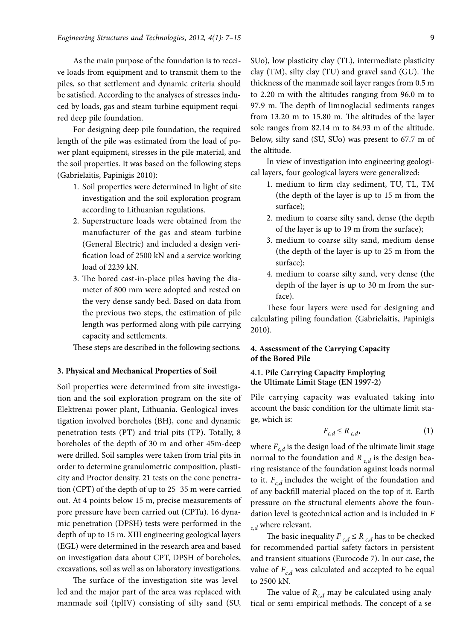As the main purpose of the foundation is to receive loads from equipment and to transmit them to the piles, so that settlement and dynamic criteria should be satisfied. According to the analyses of stresses induced by loads, gas and steam turbine equipment required deep pile foundation.

For designing deep pile foundation, the required length of the pile was estimated from the load of power plant equipment, stresses in the pile material, and the soil properties. It was based on the following steps (Gabrielaitis, Papinigis 2010):

- 1. Soil properties were determined in light of site investigation and the soil exploration program according to Lithuanian regulations.
- 2. Superstructure loads were obtained from the manufacturer of the gas and steam turbine (General Electric) and included a design verification load of 2500 kN and a service working load of 2239 kN.
- 3. The bored cast-in-place piles having the diameter of 800 mm were adopted and rested on the very dense sandy bed. Based on data from the previous two steps, the estimation of pile length was performed along with pile carrying capacity and settlements.

These steps are described in the following sections.

#### **3. Physical and Mechanical Properties of Soil**

Soil properties were determined from site investigation and the soil exploration program on the site of Elektrenai power plant, Lithuania. Geological investigation involved boreholes (BH), cone and dynamic penetration tests (PT) and trial pits (TP). Totally, 8 boreholes of the depth of 30 m and other 45m-deep were drilled. Soil samples were taken from trial pits in order to determine granulometric composition, plasticity and Proctor density. 21 tests on the cone penetration (CPT) of the depth of up to 25–35 m were carried out. At 4 points below 15 m, precise measurements of pore pressure have been carried out (CPTu). 16 dynamic penetration (DPSH) tests were performed in the depth of up to 15 m. XIII engineering geological layers (EGL) were determined in the research area and based on investigation data about CPT, DPSH of boreholes, excavations, soil as well as on laboratory investigations.

The surface of the investigation site was levelled and the major part of the area was replaced with manmade soil (tplIV) consisting of silty sand (SU, SUo), low plasticity clay (TL), intermediate plasticity clay (TM), silty clay (TU) and gravel sand (GU). The thickness of the manmade soil layer ranges from 0.5 m to 2.20 m with the altitudes ranging from 96.0 m to 97.9 m. The depth of limnoglacial sediments ranges from 13.20 m to 15.80 m. The altitudes of the layer sole ranges from 82.14 m to 84.93 m of the altitude. Below, silty sand (SU, SUo) was present to 67.7 m of the altitude.

In view of investigation into engineering geological layers, four geological layers were generalized:

- 1. medium to firm clay sediment, TU, TL, TM (the depth of the layer is up to 15 m from the surface);
- 2. medium to coarse silty sand, dense (the depth of the layer is up to 19 m from the surface);
- 3. medium to coarse silty sand, medium dense (the depth of the layer is up to 25 m from the surface);
- 4. medium to coarse silty sand, very dense (the depth of the layer is up to 30 m from the surface).

These four layers were used for designing and calculating piling foundation (Gabrielaitis, Papinigis 2010).

# **4. Assessment of the Carrying Capacity of the Bored Pile**

## **4.1. Pile Carrying Capacity Employing the Ultimate Limit Stage (EN 1997-2)**

Pile carrying capacity was evaluated taking into account the basic condition for the ultimate limit stage, which is:

$$
F_{c,d} \le R_{c,d},\tag{1}
$$

where  $F_{c,d}$  is the design load of the ultimate limit stage normal to the foundation and  $R_{c,d}$  is the design bearing resistance of the foundation against loads normal to it.  $F_{c,d}$  includes the weight of the foundation and of any backfill material placed on the top of it. Earth pressure on the structural elements above the foundation level is geotechnical action and is included in *F c,d* where relevant.

The basic inequality  $F_{c,d} \leq R_{c,d}$  has to be checked for recommended partial safety factors in persistent and transient situations (Eurocode 7). In our case, the value of  $F_{c,d}$  was calculated and accepted to be equal to 2500 kN.

The value of  $R_{c,d}$  may be calculated using analytical or semi-empirical methods. The concept of a se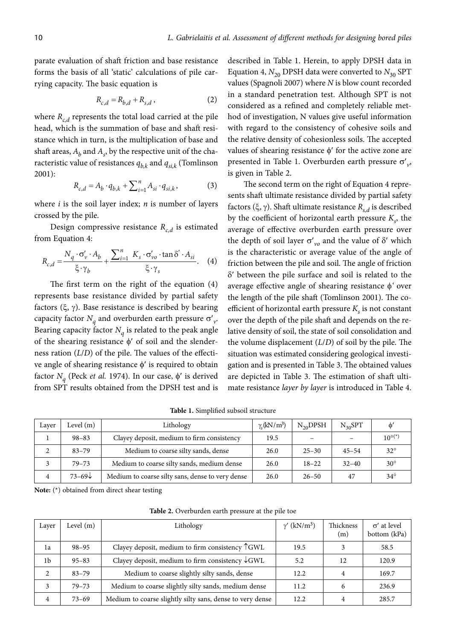parate evaluation of shaft friction and base resistance forms the basis of all 'static' calculations of pile carrying capacity. The basic equation is

$$
R_{c,d} = R_{b,d} + R_{s,d} \,, \tag{2}
$$

where  $R_{c,d}$  represents the total load carried at the pile head, which is the summation of base and shaft resistance which in turn, is the multiplication of base and shaft areas,  $A_b$  and  $A_s$ , by the respective unit of the characteristic value of resistances  $q_{b,k}$  and  $q_{sik}$  (Tomlinson 2001):

$$
R_{c,d} = A_b \cdot q_{b,k} + \sum_{i=1}^{n} A_{si} \cdot q_{si,k},
$$
 (3)

where *i* is the soil layer index; *n* is number of layers crossed by the pile.

Design compressive resistance  $R_{c,d}$  is estimated from Equation 4:

$$
R_{c,d} = \frac{N_q \cdot \sigma_v' \cdot A_b}{\xi \cdot \gamma_b} + \frac{\sum_{i=1}^{n} K_s \cdot \sigma_v' \cdot \tan \delta' \cdot A_{si}}{\xi \cdot \gamma_s}.
$$
 (4)

The first term on the right of the equation (4) represents base resistance divided by partial safety factors  $(\xi, \gamma)$ . Base resistance is described by bearing capacity factor  $N_q$  and overburden earth pressure  $\sigma'_{v}$ . Bearing capacity factor  $N_q$  is related to the peak angle of the shearing resistance  $\phi'$  of soil and the slenderness ration (*L*/*D*) of the pile. The values of the effective angle of shearing resistance  $\phi'$  is required to obtain factor  $N_a$  (Peck *et al.* 1974). In our case,  $\phi'$  is derived from SPT results obtained from the DPSH test and is

described in Table 1. Herein, to apply DPSH data in Equation 4,  $N_{20}$  DPSH data were converted to  $N_{30}$  SPT values (Spagnoli 2007) where *N* is blow count recorded in a standard penetration test. Although SPT is not considered as a refined and completely reliable method of investigation, N values give useful information with regard to the consistency of cohesive soils and the relative density of cohesionless soils. The accepted values of shearing resistance  $\phi'$  for the active zone are presented in Table 1. Overburden earth pressure  $\sigma'_{\nu}$ , is given in Table 2.

The second term on the right of Equation 4 represents shaft ultimate resistance divided by partial safety factors (ξ, γ). Shaft ultimate resistance  $R_{s,d}$  is described by the coefficient of horizontal earth pressure  $K_s$ , the average of effective overburden earth pressure over the depth of soil layer  $\sigma'_{\nu\rho}$  and the value of  $\delta'$  which is the characteristic or average value of the angle of friction between the pile and soil. The angle of friction  $\delta'$  between the pile surface and soil is related to the average effective angle of shearing resistance  $\phi'$  over the length of the pile shaft (Tomlinson 2001). The coefficient of horizontal earth pressure  $K<sub>s</sub>$  is not constant over the depth of the pile shaft and depends on the relative density of soil, the state of soil consolidation and the volume displacement (*L*/*D*) of soil by the pile. The situation was estimated considering geological investigation and is presented in Table 3. The obtained values are depicted in Table 3. The estimation of shaft ultimate resistance *layer by layer* is introduced in Table 4.

**Table 1.** Simplified subsoil structure

| Laver | Level (m)         | Lithology                                        | $\gamma$ <sub>c</sub> (kN/m <sup>3</sup> ) | $N_{20}$ DPSH | $N_{30}SPT$ | $\phi$          |
|-------|-------------------|--------------------------------------------------|--------------------------------------------|---------------|-------------|-----------------|
|       | $98 - 83$         | Clayey deposit, medium to firm consistency       | 19.5                                       |               |             | $10^{\circ(*)}$ |
| 2     | $83 - 79$         | Medium to coarse silty sands, dense              | 26.0                                       | $25 - 30$     | $45 - 54$   | $32^{\circ}$    |
|       | $79 - 73$         | Medium to coarse silty sands, medium dense       | 26.0                                       | $18 - 22$     | $32 - 40$   | $30^\circ$      |
| 4     | $73 - 69\sqrt{ }$ | Medium to coarse silty sans, dense to very dense | 26.0                                       | $26 - 50$     | 47          | $34^\circ$      |

**Note:** (\*) obtained from direct shear testing

| Layer | Level $(m)$ | Lithology                                                 | $\gamma'$ (kN/m <sup>3</sup> ) | Thickness<br>(m) | $\sigma'$ at level<br>bottom (kPa) |
|-------|-------------|-----------------------------------------------------------|--------------------------------|------------------|------------------------------------|
| 1a    | $98 - 95$   | Clayey deposit, medium to firm consistency $\uparrow$ GWL | 19.5                           |                  | 58.5                               |
| 1b    | $95 - 83$   | Clayey deposit, medium to firm consistency $\sqrt{GWL}$   | 5.2                            | 12               | 120.9                              |
| 2     | $83 - 79$   | Medium to coarse slightly silty sands, dense              | 12.2                           | 4                | 169.7                              |
| 3     | $79 - 73$   | Medium to coarse slightly silty sands, medium dense       | 11.2                           |                  | 236.9                              |
| 4     | $73 - 69$   | Medium to coarse slightly silty sans, dense to very dense | 12.2                           |                  | 285.7                              |

**Table 2.** Overburden earth pressure at the pile toe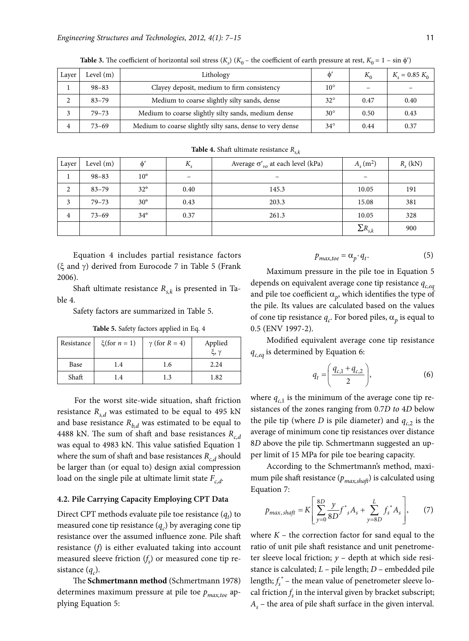| Layer | Level $(m)$ | Lithology                                                 |              | $K_0$                    | $K_s = 0.85 K_0$ |
|-------|-------------|-----------------------------------------------------------|--------------|--------------------------|------------------|
|       | $98 - 83$   | Clayey deposit, medium to firm consistency                |              | $\overline{\phantom{m}}$ |                  |
|       | $83 - 79$   | Medium to coarse slightly silty sands, dense              | $32^{\circ}$ | 0.47                     | 0.40             |
|       | $79 - 73$   | Medium to coarse slightly silty sands, medium dense       |              | 0.50                     | 0.43             |
| 4     | $73 - 69$   | Medium to coarse slightly silty sans, dense to very dense | $34^\circ$   | 0.44                     | 0.37             |

**Table 3.** The coefficient of horizontal soil stress  $(K_s)$   $(K_0$  – the coefficient of earth pressure at rest,  $K_0 = 1 - \sin \phi'$ 

**Table 4.** Shaft ultimate resistance  $R_{s,k}$ 

| Layer | Level $(m)$ | $\phi'$      | $K_{s}$ | Average $\sigma'_{vo}$ at each level (kPa) | $A_{s}(m^{2})$   | $R_{s}$ (kN) |
|-------|-------------|--------------|---------|--------------------------------------------|------------------|--------------|
|       | $98 - 83$   | $10^{\circ}$ |         |                                            |                  |              |
| 2     | $83 - 79$   | $32^\circ$   | 0.40    | 145.3                                      | 10.05            | 191          |
| 3     | $79 - 73$   | $30^\circ$   | 0.43    | 203.3                                      | 15.08            | 381          |
| 4     | $73 - 69$   | $34^\circ$   | 0.37    | 261.3                                      | 10.05            | 328          |
|       |             |              |         |                                            | $\Sigma R_{s,k}$ | 900          |

Equation 4 includes partial resistance factors (ξ and γ) derived from Eurocode 7 in Table 5 (Frank 2006).

Shaft ultimate resistance  $R_{s,k}$  is presented in Table 4.

Safety factors are summarized in Table 5.

| Resistance | $\xi$ (for $n = 1$ ) | $\gamma$ (for $R = 4$ ) | Applied<br>ξ, γ |
|------------|----------------------|-------------------------|-----------------|
| Base       | 1.4                  | 1.6                     | 2.24            |
| Shaft      | 1.4                  | 1.3                     | 1.82            |

**Table 5.** Safety factors applied in Eq. 4

 For the worst site-wide situation, shaft friction resistance  $R_{s,d}$  was estimated to be equal to 495 kN and base resistance  $R_{b,d}$  was estimated to be equal to 4488 kN. The sum of shaft and base resistances  $R_{c,d}$ was equal to 4983 kN. This value satisfied Equation 1 where the sum of shaft and base resistances  $R_{c,d}$  should be larger than (or equal to) design axial compression load on the single pile at ultimate limit state  $F_{c,d}$ .

#### **4.2. Pile Carrying Capacity Employing CPT Data**

Direct CPT methods evaluate pile toe resistance  $(q_t)$  to measured cone tip resistance  $(q_c)$  by averaging cone tip resistance over the assumed influence zone. Pile shaft resistance (*f*) is either evaluated taking into account measured sleeve friction (*f s* ) or measured cone tip resistance  $(q_c)$ .

The **Schmertmann method** (Schmertmann 1978) determines maximum pressure at pile toe  $p_{max, toe}$  applying Equation 5:

$$
p_{max, toe} = \alpha_p \cdot q_t. \tag{5}
$$

Maximum pressure in the pile toe in Equation 5 depends on equivalent average cone tip resistance  $q_{c,eq}$ and pile toe coefficient  $\alpha_p$ , which identifies the type of the pile. Its values are calculated based on the values of cone tip resistance  $q_c$ . For bored piles,  $\alpha_p$  is equal to 0.5 (ENV 1997-2).

Modified equivalent average cone tip resistance *q<sub>c,eq</sub>* is determined by Equation 6:

$$
q_t = \left(\frac{q_{c,1} + q_{c,2}}{2}\right),\tag{6}
$$

where  $q_{c,1}$  is the minimum of the average cone tip resistances of the zones ranging from 0.7*D to* 4*D* below the pile tip (where *D* is pile diameter) and  $q_c$  is the average of minimum cone tip resistances over distance 8*D* above the pile tip. Schmertmann suggested an upper limit of 15 MPa for pile toe bearing capacity.

According to the Schmertmann's method, maximum pile shaft resistance (*pmax,shaft*) is calculated using Equation 7:

$$
p_{max, shaff} = K \left[ \sum_{y=0}^{8D} \frac{y}{8D} f^*_{s} A_s + \sum_{y=8D}^{L} f_s^* A_s \right], \qquad (7)
$$

where  $K$  – the correction factor for sand equal to the ratio of unit pile shaft resistance and unit penetrometer sleeve local friction; *y* – depth at which side resistance is calculated; *L* – pile length; *D* – embedded pile length;  $f_s^*$  – the mean value of penetrometer sleeve local friction  $f_s$  in the interval given by bracket subscript; *As* – the area of pile shaft surface in the given interval.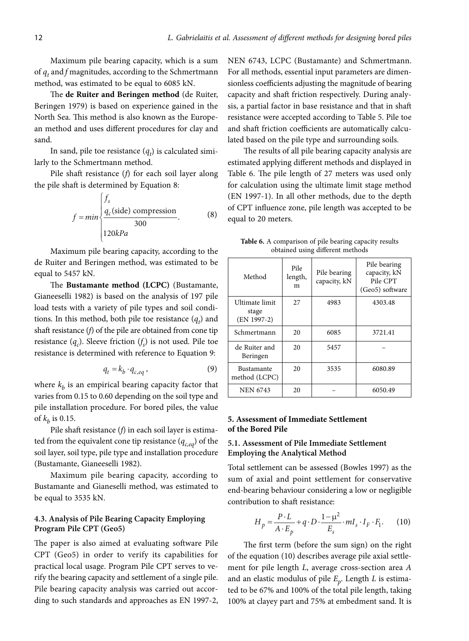Maximum pile bearing capacity, which is a sum of  $q_t$  and *f* magnitudes, according to the Schmertmann method, was estimated to be equal to 6085 kN.

The **de Ruiter and Beringen method** (de Ruiter, Beringen 1979) is based on experience gained in the North Sea. This method is also known as the European method and uses different procedures for clay and sand.

In sand, pile toe resistance  $(q_t)$  is calculated similarly to the Schmertmann method.

Pile shaft resistance (*f*) for each soil layer along the pile shaft is determined by Equation 8:

$$
f = min \begin{cases} f_s \\ \frac{q_c(\text{side}) \text{ compression}}{300} \\ 120kPa \end{cases}
$$
 (8)

Maximum pile bearing capacity, according to the de Ruiter and Beringen method, was estimated to be equal to 5457 kN.

The **Bustamante method (LCPC)** (Bustamante, Gianeeselli 1982) is based on the analysis of 197 pile load tests with a variety of pile types and soil conditions. In this method, both pile toe resistance  $(q_t)$  and shaft resistance (*f*) of the pile are obtained from cone tip resistance  $(q_c)$ . Sleeve friction  $(f_s)$  is not used. Pile toe resistance is determined with reference to Equation 9:

$$
q_t = k_b \cdot q_{c,eq} \,,\tag{9}
$$

where  $k_h$  is an empirical bearing capacity factor that varies from 0.15 to 0.60 depending on the soil type and pile installation procedure. For bored piles, the value of  $k_h$  is 0.15.

Pile shaft resistance (*f*) in each soil layer is estimated from the equivalent cone tip resistance  $(q_{c,eq})$  of the soil layer, soil type, pile type and installation procedure (Bustamante, Gianeeselli 1982).

Maximum pile bearing capacity, according to Bustamante and Gianeselli method, was estimated to be equal to 3535 kN.

### **4.3. Analysis of Pile Bearing Capacity Employing Program Pile CPT (Geo5)**

The paper is also aimed at evaluating software Pile CPT (Geo5) in order to verify its capabilities for practical local usage. Program Pile CPT serves to verify the bearing capacity and settlement of a single pile. Pile bearing capacity analysis was carried out according to such standards and approaches as EN 1997-2, NEN 6743, LCPC (Bustamante) and Schmertmann. For all methods, essential input parameters are dimensionless coefficients adjusting the magnitude of bearing capacity and shaft friction respectively. During analysis, a partial factor in base resistance and that in shaft resistance were accepted according to Table 5. Pile toe and shaft friction coefficients are automatically calculated based on the pile type and surrounding soils.

The results of all pile bearing capacity analysis are estimated applying different methods and displayed in Table 6. The pile length of 27 meters was used only for calculation using the ultimate limit stage method (EN 1997-1). In all other methods, due to the depth of CPT influence zone, pile length was accepted to be equal to 20 meters.

**Table 6.** A comparison of pile bearing capacity results obtained using different methods

| Method                                   | Pile<br>length,<br>m | Pile bearing<br>capacity, kN | Pile bearing<br>capacity, kN<br>Pile CPT<br>(Geo5) software |  |  |
|------------------------------------------|----------------------|------------------------------|-------------------------------------------------------------|--|--|
| Ultimate limit<br>stage<br>$(EN 1997-2)$ | 27                   | 4983                         | 4303.48                                                     |  |  |
| Schmertmann                              | 20                   | 6085                         | 3721.41                                                     |  |  |
| de Ruiter and<br>Beringen                | 20                   | 5457                         |                                                             |  |  |
| <b>Bustamante</b><br>method (LCPC)       | 20                   | 3535                         | 6080.89                                                     |  |  |
| <b>NEN 6743</b>                          | 20                   |                              | 6050.49                                                     |  |  |

# **5. Assessment of Immediate Settlement of the Bored Pile**

# **5.1. Assessment of Pile Immediate Settlement Employing the Analytical Method**

Total settlement can be assessed (Bowles 1997) as the sum of axial and point settlement for conservative end-bearing behaviour considering a low or negligible contribution to shaft resistance:

$$
H_p = \frac{P \cdot L}{A \cdot E_p} + q \cdot D \cdot \frac{1 - \mu^2}{E_s} \cdot m I_s \cdot I_F \cdot F_1.
$$
 (10)

The first term (before the sum sign) on the right of the equation (10) describes average pile axial settlement for pile length *L*, average cross-section area *A*  and an elastic modulus of pile *Ep*. Length *L* is estimated to be 67% and 100% of the total pile length, taking 100% at clayey part and 75% at embedment sand. It is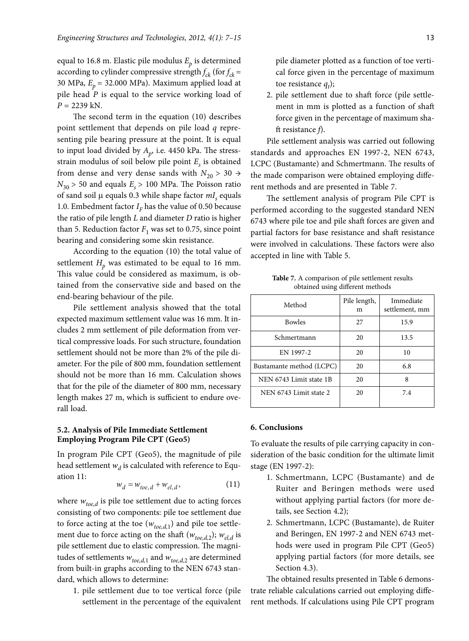equal to 16.8 m. Elastic pile modulus  $E<sub>p</sub>$  is determined according to cylinder compressive strength  $f_{ck}$  (for  $f_{ck}$  = 30 MPa,  $E_p = 32.000$  MPa). Maximum applied load at pile head *P* is equal to the service working load of *P* = 2239 kN.

The second term in the equation (10) describes point settlement that depends on pile load *q* representing pile bearing pressure at the point. It is equal to input load divided by  $A_p$ , i.e. 4450 kPa. The stressstrain modulus of soil below pile point *Es* is obtained from dense and very dense sands with  $N_{20} > 30 \rightarrow$  $N_{30}$  > 50 and equals  $E_s$  > 100 MPa. The Poisson ratio of sand soil μ equals 0.3 while shape factor *mI<sub>s</sub>* equals 1.0. Embedment factor  $I<sub>F</sub>$  has the value of 0.50 because the ratio of pile length *L* and diameter *D* ratio is higher than 5. Reduction factor  $F_1$  was set to 0.75, since point bearing and considering some skin resistance.

According to the equation (10) the total value of settlement  $H_p$  was estimated to be equal to 16 mm. This value could be considered as maximum, is obtained from the conservative side and based on the end-bearing behaviour of the pile.

Pile settlement analysis showed that the total expected maximum settlement value was 16 mm. It includes 2 mm settlement of pile deformation from vertical compressive loads. For such structure, foundation settlement should not be more than 2% of the pile diameter. For the pile of 800 mm, foundation settlement should not be more than 16 mm. Calculation shows that for the pile of the diameter of 800 mm, necessary length makes 27 m, which is sufficient to endure overall load.

### **5.2. Analysis of Pile Immediate Settlement Employing Program Pile CPT (Geo5)**

In program Pile CPT (Geo5), the magnitude of pile head settlement  $w_d$  is calculated with reference to Equation 11:

$$
w_d = w_{toe,d} + w_{el,d}, \qquad (11)
$$

where  $w_{toe,d}$  is pile toe settlement due to acting forces consisting of two components: pile toe settlement due to force acting at the toe  $(w_{toe,d,1})$  and pile toe settlement due to force acting on the shaft  $(w_{toe,d,2}); w_{el,d}$  is pile settlement due to elastic compression. The magnitudes of settlements  $w_{toe,d,1}$  and  $w_{toe,d,2}$  are determined from built-in graphs according to the NEN 6743 standard, which allows to determine:

1. pile settlement due to toe vertical force (pile settlement in the percentage of the equivalent pile diameter plotted as a function of toe vertical force given in the percentage of maximum toe resistance  $q_t$ );

2. pile settlement due to shaft force (pile settlement in mm is plotted as a function of shaft force given in the percentage of maximum shaft resistance *f*).

Pile settlement analysis was carried out following standards and approaches EN 1997-2, NEN 6743, LCPC (Bustamante) and Schmertmann. The results of the made comparison were obtained employing different methods and are presented in Table 7.

The settlement analysis of program Pile CPT is performed according to the suggested standard NEN 6743 where pile toe and pile shaft forces are given and partial factors for base resistance and shaft resistance were involved in calculations. These factors were also accepted in line with Table 5.

**Table 7.** A comparison of pile settlement results obtained using different methods

| Method                   | Pile length,<br>m | Immediate<br>settlement, mm |
|--------------------------|-------------------|-----------------------------|
| <b>Bowles</b>            | 27                | 15.9                        |
| Schmertmann              | 20                | 13.5                        |
| EN 1997-2                | 20                | 10                          |
| Bustamante method (LCPC) | 20                | 6.8                         |
| NEN 6743 Limit state 1B  | 20                | 8                           |
| NEN 6743 Limit state 2.  | 20                | 7.4                         |

#### **6. Conclusions**

To evaluate the results of pile carrying capacity in consideration of the basic condition for the ultimate limit stage (EN 1997-2):

- 1. Schmertmann, LCPC (Bustamante) and de Ruiter and Beringen methods were used without applying partial factors (for more details, see Section 4.2);
- 2. Schmertmann, LCPC (Bustamante), de Ruiter and Beringen, EN 1997-2 and NEN 6743 methods were used in program Pile CPT (Geo5) applying partial factors (for more details, see Section 4.3).

The obtained results presented in Table 6 demonstrate reliable calculations carried out employing different methods. If calculations using Pile CPT program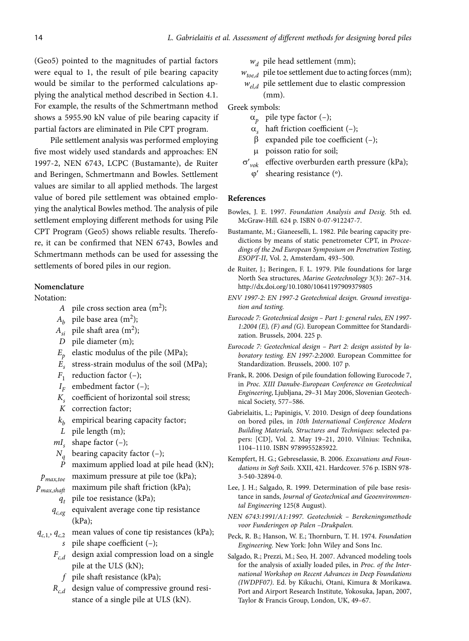(Geo5) pointed to the magnitudes of partial factors were equal to 1, the result of pile bearing capacity would be similar to the performed calculations applying the analytical method described in Section 4.1. For example, the results of the Schmertmann method shows a 5955.90 kN value of pile bearing capacity if partial factors are eliminated in Pile CPT program.

Pile settlement analysis was performed employing five most widely used standards and approaches: EN 1997-2, NEN 6743, LCPC (Bustamante), de Ruiter and Beringen, Schmertmann and Bowles. Settlement values are similar to all applied methods. The largest value of bored pile settlement was obtained employing the analytical Bowles method. The analysis of pile settlement employing different methods for using Pile CPT Program (Geo5) shows reliable results. Therefore, it can be confirmed that NEN 6743, Bowles and Schmertmann methods can be used for assessing the settlements of bored piles in our region.

# **Nomenclature**

#### Notation:

- *A* pile cross section area  $(m^2)$ ;
- $A_h$  pile base area (m<sup>2</sup>);
- $A_{si}$  pile shaft area (m<sup>2</sup>);
- *D* pile diameter (m);
- $E_p$  elastic modulus of the pile (MPa);
- *Es* stress-strain modulus of the soil (MPa);
- $F_1$  reduction factor  $(-)$ ;
- $I_F$  embedment factor  $(-)$ ;
- *K<sub>s</sub>* coefficient of horizontal soil stress;
- *K* correction factor;
- $k<sub>b</sub>$  empirical bearing capacity factor;
- *L* pile length (m);
- $mI_s$  shape factor  $(-)$ ;
- $N_q$  bearing capacity factor (-);<br>*P* maximum applied load at r
- maximum applied load at pile head (kN);

*pmax,toe* maximum pressure at pile toe (kPa);

- *pmax,shaft* maximum pile shaft friction (kPa);
	- *qt* pile toe resistance (kPa);
	- $q_{c,eg}$  equivalent average cone tip resistance (kPa);
- $q_{c,1}$ ,  $q_{c,2}$  mean values of cone tip resistances (kPa); *s* pile shape coefficient (–);
	- $F_{c,d}$  design axial compression load on a single pile at the ULS (kN);
		- *f* pile shaft resistance (kPa);
	- *Rc,d* design value of compressive ground resistance of a single pile at ULS (kN).

 $w_d$  pile head settlement (mm);

- $w_{\text{toe-d}}$  pile toe settlement due to acting forces (mm);
- *w<sub>el,d</sub>* pile settlement due to elastic compression (mm).

Greek symbols:

- $\alpha_p$  pile type factor (-);
- $\alpha$ , haft friction coefficient (–);
- $\beta$  expanded pile toe coefficient (-);
- *μ* poisson ratio for soil;
- $\sigma'{}_{\nu ok}$ effective overburden earth pressure (kPa); *shearing resistance* (<sup>o</sup>).

#### **References**

- Bowles, J. E. 1997. *Foundation Analysis and Desig.* 5th ed. McGraw-Hill. 624 p. ISBN 0-07-912247-7.
- Bustamante, M.; Gianeeselli, L. 1982. Pile bearing capacity predictions by means of static penetrometer CPT, in *Proceedings of the 2nd European Symposium on Penetration Testing, ESOPT-II*, Vol. 2, Amsterdam, 493–500.
- de Ruiter, J.; Beringen, F. L. 1979. Pile foundations for large North Sea structures, *Marine Geotechnology* 3(3): 267–314. http://dx.doi.org/10.1080/10641197909379805
- *ENV 1997-2: EN 1997-2 Geotechnical design. Ground investigation and testing.*
- *Eurocode 7: Geotechnical design Part 1: general rules, EN 1997- 1:2004 (E), (F) and (G).* European Committee for Standardization. Brussels, 2004. 225 p.
- *Eurocode 7: Geotechnical design Part 2: design assisted by laboratory testing. EN 1997-2:2000.* European Committee for Standardization. Brussels, 2000. 107 p.
- Frank, R. 2006. Design of pile foundation following Eurocode 7, in *Proc. XIII Danube-European Conference on Geotechnical Engineering*, Ljubljana, 29–31 May 2006, Slovenian Geotechnical Society, 577–586.
- Gabrielaitis, L.; Papinigis, V. 2010. Design of deep foundations on bored piles, in *10th International Conference Modern Building Materials, Structures and Techniques*: selected papers: [CD], Vol. 2. May 19–21, 2010. Vilnius: Technika, 1104–1110. ISBN 9789955285922.
- Kempfert, H. G.; Gebreselassie, B. 2006. *Excavations and Foundations in Soft Soils*. XXII, 421. Hardcover. 576 p. ISBN 978- 3-540-32894-0.
- Lee, J. H.; Salgado, R. 1999. Determination of pile base resistance in sands, *Journal of Geotechnical and Geoenvironmental Engineering* 125(8 August).
- *NEN 6743:1991/A1:1997. Geotechniek Berekeningsmethode voor Funderingen op Palen –Drukpalen.*
- Peck, R. B.; Hanson, W. E.; Thornburn, T. H. 1974. *Foundation Engineering*. New York: John Wiley and Sons Inc.
- Salgado, R.; Prezzi, M.; Seo, H. 2007. Advanced modeling tools for the analysis of axially loaded piles, in *Proc. of the International Workshop on Recent Advances in Deep Foundations (IWDPF07)*. Ed. by Kikuchi, Otani, Kimura & Morikawa. Port and Airport Research Institute, Yokosuka, Japan, 2007, Taylor & Francis Group, London, UK, 49–67.